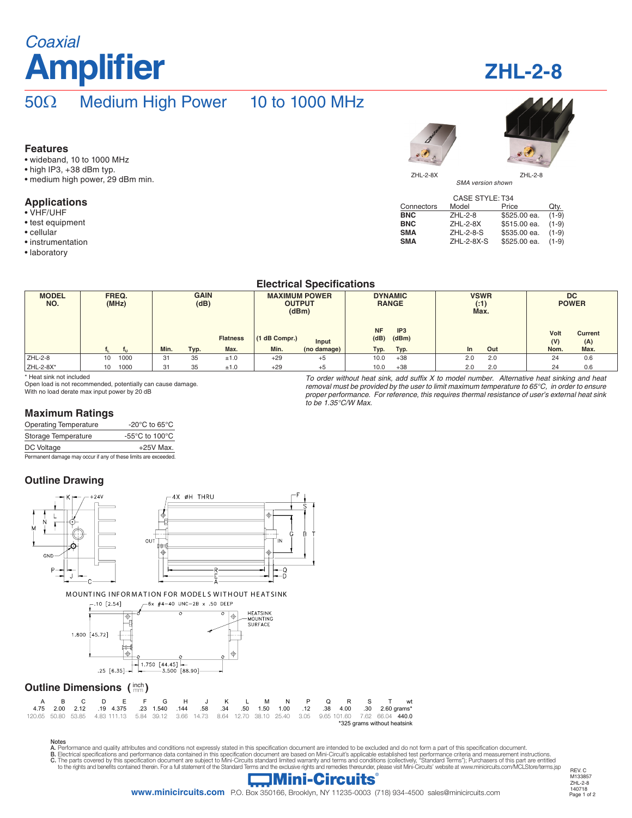# **Amplifier Coaxial**

## **ZHL-2-8**

REV. C M133857 ZHL-2-8 140718

## 50Ω Medium High Power 10 to 1000 MHz

#### **Features**

- wideband, 10 to 1000 MHz
- high IP3, +38 dBm typ.
- medium high power, 29 dBm min.

#### **Applications**

- VHF/UHF
- test equipment
- cellular
- instrumentation
- laboratory



SMA version shown

| <b>CASE STYLE: T34</b> |                 |              |         |  |  |  |  |
|------------------------|-----------------|--------------|---------|--|--|--|--|
| Connectors             | Model           | Price        | Qty.    |  |  |  |  |
| <b>BNC</b>             | ZHL-2-8         | \$525.00 ea. | $(1-9)$ |  |  |  |  |
| <b>BNC</b>             | <b>ZHL-2-8X</b> | \$515.00 ea. | $(1-9)$ |  |  |  |  |
| <b>SMA</b>             | ZHL-2-8-S       | \$535.00 ea. | $(1-9)$ |  |  |  |  |
| <b>SMA</b>             | ZHL-2-8X-S      | \$525.00 ea. | $(1-9)$ |  |  |  |  |
|                        |                 |              |         |  |  |  |  |

#### **Electrical Specifications**

| <b>MODEL</b><br>NO. | FREQ.<br>(MHz) |      | <b>GAIN</b><br>(dB) |      | <b>MAXIMUM POWER</b><br><b>OUTPUT</b><br>(dBm) |               | <b>DYNAMIC</b><br><b>RANGE</b> |                   | <b>VSWR</b><br>(:1)<br>Max. |     | <b>DC</b><br><b>POWER</b> |             |                       |
|---------------------|----------------|------|---------------------|------|------------------------------------------------|---------------|--------------------------------|-------------------|-----------------------------|-----|---------------------------|-------------|-----------------------|
|                     |                |      |                     |      | <b>Flatness</b>                                | (1 dB Compr.) | Input                          | <b>NF</b><br>(dB) | IP <sub>3</sub><br>(dBm)    |     |                           | Volt<br>(V) | <b>Current</b><br>(A) |
|                     |                |      | Min.                | Typ. | Max.                                           | Min.          | (no damage)                    | Typ.              | Typ.                        | In. | Out                       | Nom.        | Max.                  |
| ZHL-2-8             | 10             | 1000 | 31                  | 35   | ±1.0                                           | $+29$         | $+5$                           | 10.0              | $+38$                       | 2.0 | 2.0                       | 24          | 0.6                   |
| ZHL-2-8X*           | 10             | 1000 | 31                  | 35   | ±1.0                                           | $+29$         | $+5$                           | 10.0              | $+38$                       | 2.0 | 2.0                       | 24          | 0.6                   |

\* Heat sink not included

Open load is not recommended, potentially can cause damage. With no load derate max input power by 20 dB

To order without heat sink, add suffix  $X$  to model number. Alternative heat sinking and heat removal must be provided by the user to limit maximum temperature to 65°C, in order to ensure proper performance. For reference, this requires thermal resistance of user's external heat sink to be 1.35°C/W Max.

#### **Maximum Ratings**

| <b>Operating Temperature</b>                                    | -20 $\mathrm{^{\circ}C}$ to 65 $\mathrm{^{\circ}C}$ |
|-----------------------------------------------------------------|-----------------------------------------------------|
| Storage Temperature                                             | -55°C to 100°C                                      |
| DC Voltage                                                      | $+25V$ Max.                                         |
| Permanent damage may occur if any of these limits are exceeded. |                                                     |

### **Outline Drawing**



Notes

A. Performance and quality attributes and conditions not expressly stated in this specification document are intended to be excluded and do not form a part of this specification document.<br>B. Electrical specifications and p